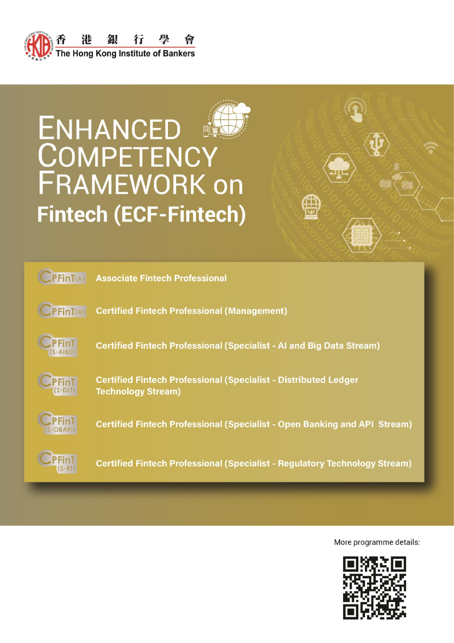

# **ENHANCED COMPETENCY FRAMEWORK on Fintech (ECF-Fintech)**





**Associate Fintech Professional** 



**Certified Fintech Professional (Management)** 



**Certified Fintech Professional (Specialist - AI and Big Data Stream)** 



**Certified Fintech Professional (Specialist - Distributed Ledger Technology Stream)** 



**Certified Fintech Professional (Specialist - Open Banking and API Stream)** 



**Certified Fintech Professional (Specialist - Regulatory Technology Stream)** 

More programme details:

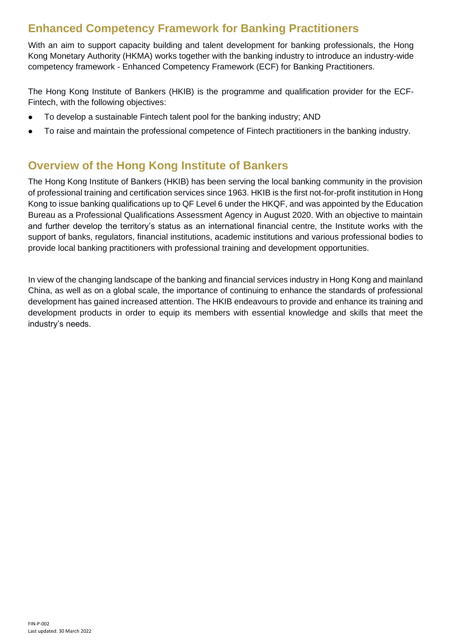# **Enhanced Competency Framework for Banking Practitioners**

With an aim to support capacity building and talent development for banking professionals, the Hong Kong Monetary Authority (HKMA) works together with the banking industry to introduce an industry-wide competency framework - Enhanced Competency Framework (ECF) for Banking Practitioners.

The Hong Kong Institute of Bankers (HKIB) is the programme and qualification provider for the ECF-Fintech, with the following objectives:

- ⚫ To develop a sustainable Fintech talent pool for the banking industry; AND
- ⚫ To raise and maintain the professional competence of Fintech practitioners in the banking industry.

# **Overview of the Hong Kong Institute of Bankers**

The Hong Kong Institute of Bankers (HKIB) has been serving the local banking community in the provision of professional training and certification services since 1963. HKIB is the first not-for-profit institution in Hong Kong to issue banking qualifications up to QF Level 6 under the HKQF, and was appointed by the Education Bureau as a Professional Qualifications Assessment Agency in August 2020. With an objective to maintain and further develop the territory's status as an international financial centre, the Institute works with the support of banks, regulators, financial institutions, academic institutions and various professional bodies to provide local banking practitioners with professional training and development opportunities.

In view of the changing landscape of the banking and financial services industry in Hong Kong and mainland China, as well as on a global scale, the importance of continuing to enhance the standards of professional development has gained increased attention. The HKIB endeavours to provide and enhance its training and development products in order to equip its members with essential knowledge and skills that meet the industry's needs.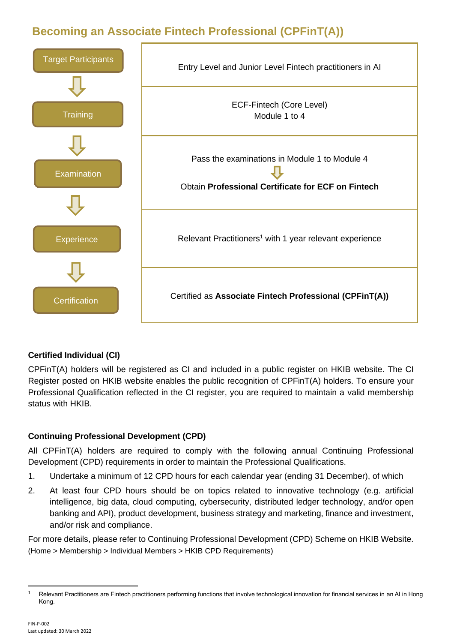# **Becoming an Associate Fintech Professional (CPFinT(A))**



#### **Certified Individual (CI)**

CPFinT(A) holders will be registered as CI and included in a public register on HKIB website. The CI Register posted on HKIB website enables the public recognition of CPFinT(A) holders. To ensure your Professional Qualification reflected in the CI register, you are required to maintain a valid membership status with HKIB.

#### **Continuing Professional Development (CPD)**

All CPFinT(A) holders are required to comply with the following annual Continuing Professional Development (CPD) requirements in order to maintain the Professional Qualifications.

- 1. Undertake a minimum of 12 CPD hours for each calendar year (ending 31 December), of which
- 2. At least four CPD hours should be on topics related to innovative technology (e.g. artificial intelligence, big data, cloud computing, cybersecurity, distributed ledger technology, and/or open banking and API), product development, business strategy and marketing, finance and investment, and/or risk and compliance.

For more details, please refer to Continuing Professional Development (CPD) Scheme on HKIB Website. (Home > Membership > Individual Members > HKIB CPD Requirements)

<sup>&</sup>lt;sup>1</sup> Relevant Practitioners are Fintech practitioners performing functions that involve technological innovation for financial services in an AI in Hong Kong.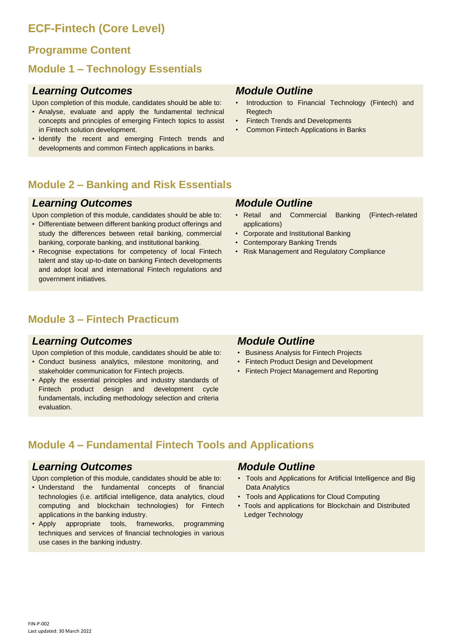# **ECF-Fintech (Core Level)**

### **Programme Content**

## **Module 1 – Technology Essentials**

#### *Learning Outcomes*

Upon completion of this module, candidates should be able to:

- Analyse, evaluate and apply the fundamental technical concepts and principles of emerging Fintech topics to assist in Fintech solution development.
- Identify the recent and emerging Fintech trends and developments and common Fintech applications in banks.

#### *Module Outline*

- Introduction to Financial Technology (Fintech) and Regtech
- **Fintech Trends and Developments**
- Common Fintech Applications in Banks

## **Module 2 – Banking and Risk Essentials**

#### *Learning Outcomes*

Upon completion of this module, candidates should be able to:

- Differentiate between different banking product offerings and study the differences between retail banking, commercial banking, corporate banking, and institutional banking.
- Recognise expectations for competency of local Fintech talent and stay up-to-date on banking Fintech developments and adopt local and international Fintech regulations and government initiatives.

## **Module 3 – Fintech Practicum**

#### *Learning Outcomes*

Upon completion of this module, candidates should be able to:

- Conduct business analytics, milestone monitoring, and stakeholder communication for Fintech projects.
- Apply the essential principles and industry standards of Fintech product design and development cycle fundamentals, including methodology selection and criteria evaluation.

#### *Module Outline*

- Retail and Commercial Banking (Fintech-related applications)
- Corporate and Institutional Banking
- Contemporary Banking Trends
- Risk Management and Regulatory Compliance

#### *Module Outline*

- Business Analysis for Fintech Projects
- Fintech Product Design and Development
- Fintech Project Management and Reporting

# **Module 4 – Fundamental Fintech Tools and Applications**

#### *Learning Outcomes*

Upon completion of this module, candidates should be able to:

- Understand the fundamental concepts of financial technologies (i.e. artificial intelligence, data analytics, cloud computing and blockchain technologies) for Fintech applications in the banking industry.
- Apply appropriate tools, frameworks, programming techniques and services of financial technologies in various use cases in the banking industry.

#### *Module Outline*

- Tools and Applications for Artificial Intelligence and Big Data Analytics
- Tools and Applications for Cloud Computing
- Tools and applications for Blockchain and Distributed Ledger Technology